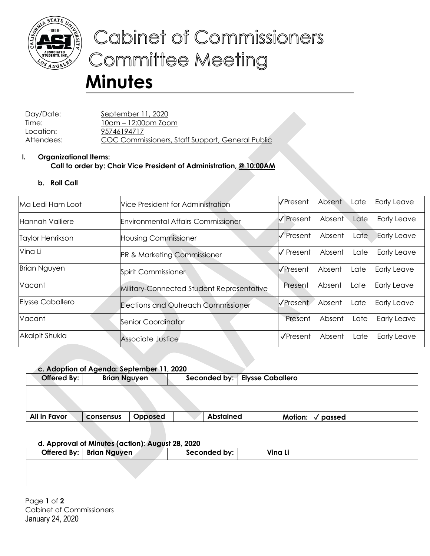

# Cabinet of Commissioners **Committee Meeting**

# **Minutes**

Day/Date: September 11, 2020 Time: 10am – 12:00pm Zoom Location: 95746194717 Attendees: COC Commissioners, Staff Support, General Public

## **I. Organizational Items: Call to order by: Chair Vice President of Administration, @ 10:00AM**

# **b. Roll Call**

| Ma Ledi Ham Loot        | Vice President for Administration         | l√Present⊥                    | Absent | Late | <b>Early Leave</b> |
|-------------------------|-------------------------------------------|-------------------------------|--------|------|--------------------|
| lHannah Valliere        | <b>Environmental Affairs Commissioner</b> | √ Present                     | Absent | Late | <b>Early Leave</b> |
| Taylor Henrikson        | <b>Housing Commissioner</b>               | I√ Present                    | Absent | Late | <b>Early Leave</b> |
| Vina Li                 | <b>PR &amp; Marketing Commissioner</b>    | $\sqrt{\overline{P}}$ Present | Absent | Late | Early Leave        |
| <b>Brian Nguyen</b>     | Spirit Commissioner                       | I√Present                     | Absent | Late | <b>Early Leave</b> |
| Vacant                  | Military-Connected Student Representative | Present                       | Absent | Late | Early Leave        |
| <b>Elysse Caballero</b> | Elections and Outreach Commissioner       | <b>V</b> Present              | Absent | Late | Early Leave        |
| Vacant                  | Senior Coordinator                        | Present                       | Absent | Late | Early Leave        |
| Akalpit Shukla          | Associate Justice                         | $\sqrt{$ Present              | Absent | Late | Early Leave        |

| c. Adoption of Agenda: September 11, 2020 |                     |         |  |                  |                                 |        |  |  |
|-------------------------------------------|---------------------|---------|--|------------------|---------------------------------|--------|--|--|
| Offered By:                               | <b>Brian Nguyen</b> |         |  |                  | Seconded by:   Elysse Caballero |        |  |  |
|                                           |                     |         |  |                  |                                 |        |  |  |
|                                           |                     |         |  |                  |                                 |        |  |  |
| All in Favor                              | consensus           | Opposed |  | <b>Abstained</b> | <b>Motion:</b>                  | passed |  |  |

### **d. Approval of Minutes (action): August 28, 2020**

| Offered By:   Brian Nguyen | Seconded by: | Vina Li |  |
|----------------------------|--------------|---------|--|
|                            |              |         |  |
|                            |              |         |  |

Page **1** of **2** Cabinet of Commissioners January 24, 2020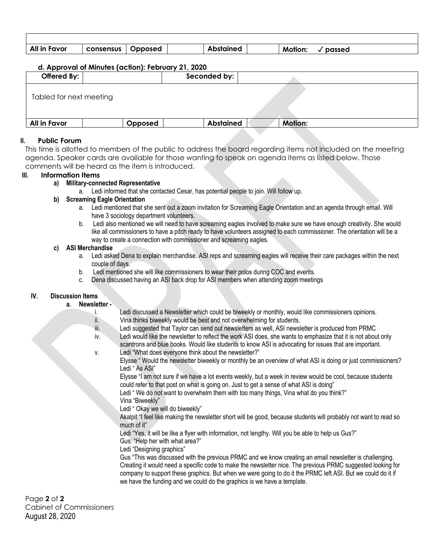| All in Favor | consensus | Opposed | Abstained | <b>Motion:</b> | passed |
|--------------|-----------|---------|-----------|----------------|--------|

#### **d. Approval of Minutes (action): February 21, 2020**

| Offered By:             |         | Seconded by:     |                |  |
|-------------------------|---------|------------------|----------------|--|
| Tabled for next meeting |         |                  |                |  |
| All in Favor            | Opposed | <b>Abstained</b> | <b>Motion:</b> |  |
|                         |         |                  |                |  |

#### **II. Public Forum**

This time is allotted to members of the public to address the board regarding items not included on the meeting agenda. Speaker cards are available for those wanting to speak on agenda items as listed below. Those comments will be heard as the item is introduced.

#### **III. Information Items**

#### **a) Military-connected Representative**

a. Ledi informed that she contacted Cesar, has potential people to join. Will follow up.

#### **b) Screaming Eagle Orientation**

- a. Ledi mentioned that she sent out a zoom invitation for Screaming Eagle Orientation and an agenda through email. Will have 3 sociology department volunteers.
- b. Ledi also mentioned we will need to have screaming eagles involved to make sure we have enough creativity. She would like all commissioners to have a pitch ready to have volunteers assigned to each commissioner. The orientation will be a way to create a connection with commissioner and screaming eagles.

#### **c) ASI Merchandise**

- a. Ledi asked Dena to explain merchandise. ASI reps and screaming eagles will receive their care packages within the next couple of days.
- b. Ledi mentioned she will like commissioners to wear their polos during COC and events.
- c. Dena discussed having an ASI back drop for ASI members when attending zoom meetings

#### **IV. Discussion Items**

#### **a. Newsletter -**

- i. Ledi discussed a Newsletter which could be biweekly or monthly, would like commissioners opinions. ii. Vina thinks biweekly would be best and not overwhelming for students.
- iii. Ledi suggested that Taylor can send out newsletters as well, ASI newsletter is produced from PRMC

iv. Ledi would like the newsletter to reflect the work ASI does, she wants to emphasize that it is not about only scantrons and blue books. Would like students to know ASI is advocating for issues that are important. v. Ledi "What does everyone think about the newsletter?"

Elysse " Would the newsletter biweekly or monthly be an overview of what ASI is doing or just commissioners? Ledi " As ASI"

Elysse "I am not sure if we have a lot events weekly, but a week in review would be cool, because students could refer to that post on what is going on. Just to get a sense of what ASI is doing"

Ledi " We do not want to overwhelm them with too many things, Vina what do you think?" Vina "Biweekly"

Ledi " Okay we will do biweekly"

Akalpit "I feel like making the newsletter short will be good, because students will probably not want to read so much of it"

Ledi "Yes, it will be like a flyer with information, not lengthy. Will you be able to help us Gus?"

Gus: "Help her with what area?"

Ledi "Designing graphics"

Gus "This was discussed with the previous PRMC and we know creating an email newsletter is challenging. Creating it would need a specific code to make the newsletter nice. The previous PRMC suggested looking for company to support these graphics. But when we were going to do it the PRMC left ASI. But we could do it if we have the funding and we could do the graphics is we have a template.

Page **2** of **2** Cabinet of Commissioners August 28, 2020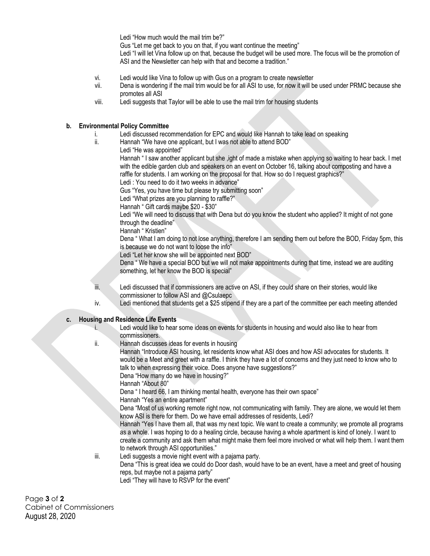Ledi "How much would the mail trim be?"

Gus "Let me get back to you on that, if you want continue the meeting"

Ledi "I will let Vina follow up on that, because the budget will be used more. The focus will be the promotion of ASI and the Newsletter can help with that and become a tradition."

- vi. Ledi would like Vina to follow up with Gus on a program to create newsletter
- vii. Dena is wondering if the mail trim would be for all ASI to use, for now it will be used under PRMC because she promotes all ASI
- viii. Ledi suggests that Taylor will be able to use the mail trim for housing students

#### **b. Environmental Policy Committee**

- i. Ledi discussed recommendation for EPC and would like Hannah to take lead on speaking
- ii. Hannah "We have one applicant, but I was not able to attend BOD"
	- Ledi "He was appointed"

Hannah " I saw another applicant but she ,ight of made a mistake when applying so waiting to hear back. I met with the edible garden club and speakers on an event on October 16, talking about composting and have a raffle for students. I am working on the proposal for that. How so do I request graphics?"

Ledi : You need to do it two weeks in advance"

Gus "Yes, you have time but please try submitting soon"

Ledi "What prizes are you planning to raffle?"

Hannah " Gift cards maybe \$20 - \$30"

Ledi "We will need to discuss that with Dena but do you know the student who applied? It might of not gone through the deadline"

Hannah " Kristien"

Dena " What I am doing to not lose anything, therefore I am sending them out before the BOD, Friday 5pm, this is because we do not want to loose the info"

Ledi "Let her know she will be appointed next BOD"

Dena " We have a special BOD but we will not make appointments during that time, instead we are auditing something, let her know the BOD is special"

iii. Ledi discussed that if commissioners are active on ASI, if they could share on their stories, would like commissioner to follow ASI and @Csulaepc

iv. Ledi mentioned that students get a \$25 stipend if they are a part of the committee per each meeting attended

#### **c. Housing and Residence Life Events**

- i. Ledi would like to hear some ideas on events for students in housing and would also like to hear from commissioners.
- ii. Hannah discusses ideas for events in housing

Hannah "Introduce ASI housing, let residents know what ASI does and how ASI advocates for students. It would be a Meet and greet with a raffle. I think they have a lot of concerns and they just need to know who to talk to when expressing their voice. Does anyone have suggestions?"

Dena "How many do we have in housing?"

Hannah "About 80"

Dena " I heard 66, I am thinking mental health, everyone has their own space"

Hannah "Yes an entire apartment"

Dena "Most of us working remote right now, not communicating with family. They are alone, we would let them know ASI is there for them. Do we have email addresses of residents, Ledi?

Hannah "Yes I have them all, that was my next topic. We want to create a community; we promote all programs as a whole. I was hoping to do a healing circle, because having a whole apartment is kind of lonely. I want to create a community and ask them what might make them feel more involved or what will help them. I want them to network through ASI opportunities."

iii. Ledi suggests a movie night event with a pajama party.

Dena "This is great idea we could do Door dash, would have to be an event, have a meet and greet of housing reps, but maybe not a pajama party"

Ledi "They will have to RSVP for the event"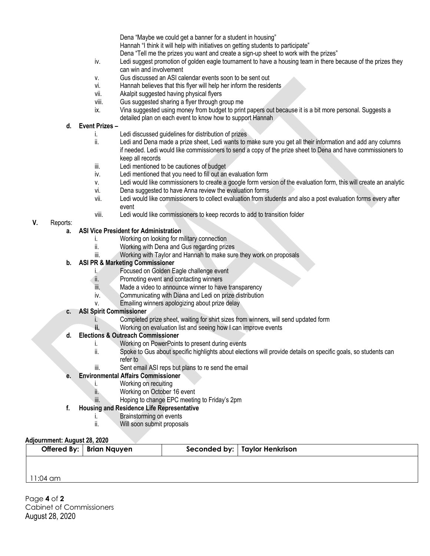Dena "Maybe we could get a banner for a student in housing"

Hannah "I think it will help with initiatives on getting students to participate"

Dena "Tell me the prizes you want and create a sign-up sheet to work with the prizes"

- iv. Ledi suggest promotion of golden eagle tournament to have a housing team in there because of the prizes they can win and involvement
- v. Gus discussed an ASI calendar events soon to be sent out
- vi. Hannah believes that this flyer will help her inform the residents
- vii. Akalpit suggested having physical flyers
- viii. Gus suggested sharing a flyer through group me
- ix. Vina suggested using money from budget to print papers out because it is a bit more personal. Suggests a detailed plan on each event to know how to support Hannah

#### **d. Event Prizes –**

- i. Ledi discussed guidelines for distribution of prizes
- ii. Ledi and Dena made a prize sheet, Ledi wants to make sure you get all their information and add any columns if needed. Ledi would like commissioners to send a copy of the prize sheet to Dena and have commissioners to keep all records
- iii. Ledi mentioned to be cautiones of budget
- iv. Ledi mentioned that you need to fill out an evaluation form
- v. Ledi would like commissioners to create a google form version of the evaluation form, this will create an analytic
- vi. Dena suggested to have Anna review the evaluation forms
- vii. Ledi would like commissioners to collect evaluation from students and also a post evaluation forms every after event
- viii. Ledi would like commissioners to keep records to add to transition folder

#### **V.** Reports:

- **a. ASI Vice President for Administration** 
	- i. Working on looking for military connection
	- ii. Working with Dena and Gus regarding prizes
	- iii. Working with Taylor and Hannah to make sure they work on proposals

#### **b. ASI PR & Marketing Commissioner**

- i. Focused on Golden Eagle challenge event
- ii. Promoting event and contacting winners
- iii. Made a video to announce winner to have transparency
- iv. Communicating with Diana and Ledi on prize distribution
- v. Emailing winners apologizing about prize delay

#### **c. ASI Spirit Commissioner**

- i. Completed prize sheet, waiting for shirt sizes from winners, will send updated form
- **ii.** Working on evaluation list and seeing how I can improve events

#### **d. Elections & Outreach Commissioner**

- i. Working on PowerPoints to present during events
- ii. Spoke to Gus about specific highlights about elections will provide details on specific goals, so students can refer to
- iii. Sent email ASI reps but plans to re send the email

#### **e. Environmental Affairs Commissioner**

- i. Working on recuiting
- ii. Working on October 16 event
- iii. Hoping to change EPC meeting to Friday's 2pm

#### **f. Housing and Residence Life Representative**

- i. Brainstorming on events
- ii. Will soon submit proposals

#### **Adjournment: August 28, 2020**

|  | Offered By:   Brian Nquyen | Seconded by:   Taylor Henkrison |
|--|----------------------------|---------------------------------|
|  |                            |                                 |

11:04 am

Page **4** of **2** Cabinet of Commissioners August 28, 2020